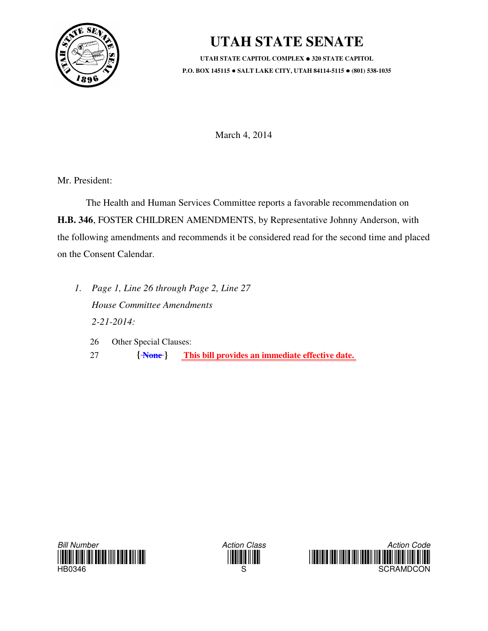

## **UTAH STATE SENATE**

**UTAH STATE CAPITOL COMPLEX 320 STATE CAPITOL P.O. BOX 145115 SALT LAKE CITY, UTAH 84114-5115 (801) 538-1035**

March 4, 2014

Mr. President:

 The Health and Human Services Committee reports a favorable recommendation on **H.B. 346**, FOSTER CHILDREN AMENDMENTS, by Representative Johnny Anderson, with the following amendments and recommends it be considered read for the second time and placed on the Consent Calendar.

- *1. Page 1, Line 26 through Page 2, Line 27 House Committee Amendments 2-21-2014:*
	- 26 Other Special Clauses: 27 **{ None } This bill provides an immediate effective date.**